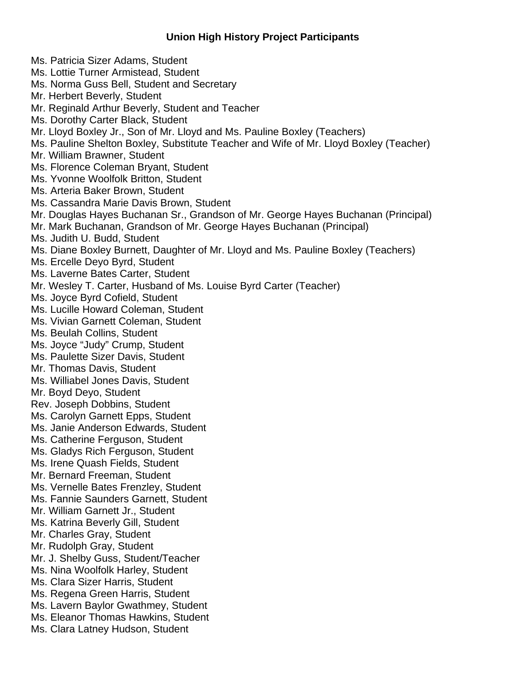## **Union High History Project Participants**

Ms. Patricia Sizer Adams, Student Ms. Lottie Turner Armistead, Student Ms. Norma Guss Bell, Student and Secretary Mr. Herbert Beverly, Student Mr. Reginald Arthur Beverly, Student and Teacher Ms. Dorothy Carter Black, Student Mr. Lloyd Boxley Jr., Son of Mr. Lloyd and Ms. Pauline Boxley (Teachers) Ms. Pauline Shelton Boxley, Substitute Teacher and Wife of Mr. Lloyd Boxley (Teacher) Mr. William Brawner, Student Ms. Florence Coleman Bryant, Student Ms. Yvonne Woolfolk Britton, Student Ms. Arteria Baker Brown, Student Ms. Cassandra Marie Davis Brown, Student Mr. Douglas Hayes Buchanan Sr., Grandson of Mr. George Hayes Buchanan (Principal) Mr. Mark Buchanan, Grandson of Mr. George Hayes Buchanan (Principal) Ms. Judith U. Budd, Student Ms. Diane Boxley Burnett, Daughter of Mr. Lloyd and Ms. Pauline Boxley (Teachers) Ms. Ercelle Deyo Byrd, Student Ms. Laverne Bates Carter, Student Mr. Wesley T. Carter, Husband of Ms. Louise Byrd Carter (Teacher) Ms. Joyce Byrd Cofield, Student Ms. Lucille Howard Coleman, Student Ms. Vivian Garnett Coleman, Student Ms. Beulah Collins, Student Ms. Joyce "Judy" Crump, Student Ms. Paulette Sizer Davis, Student Mr. Thomas Davis, Student Ms. Williabel Jones Davis, Student Mr. Boyd Deyo, Student Rev. Joseph Dobbins, Student Ms. Carolyn Garnett Epps, Student Ms. Janie Anderson Edwards, Student Ms. Catherine Ferguson, Student Ms. Gladys Rich Ferguson, Student Ms. Irene Quash Fields, Student Mr. Bernard Freeman, Student Ms. Vernelle Bates Frenzley, Student Ms. Fannie Saunders Garnett, Student Mr. William Garnett Jr., Student Ms. Katrina Beverly Gill, Student Mr. Charles Gray, Student Mr. Rudolph Gray, Student Mr. J. Shelby Guss, Student/Teacher Ms. Nina Woolfolk Harley, Student Ms. Clara Sizer Harris, Student Ms. Regena Green Harris, Student Ms. Lavern Baylor Gwathmey, Student Ms. Eleanor Thomas Hawkins, Student Ms. Clara Latney Hudson, Student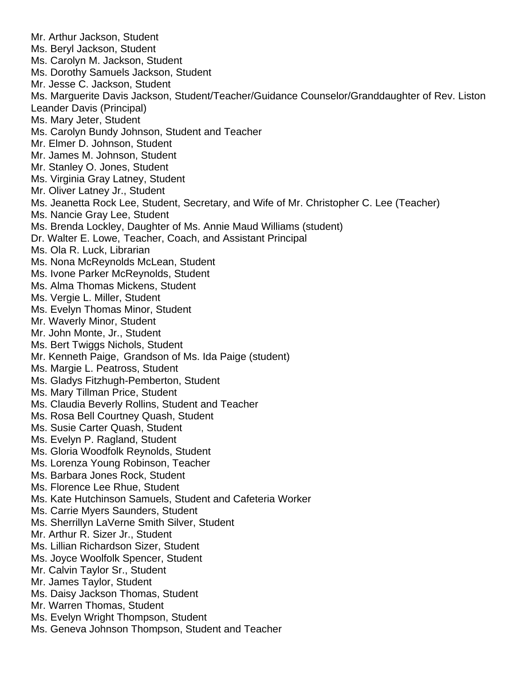Mr. Arthur Jackson, Student Ms. Beryl Jackson, Student Ms. Carolyn M. Jackson, Student Ms. Dorothy Samuels Jackson, Student Mr. Jesse C. Jackson, Student Ms. Marguerite Davis Jackson, Student/Teacher/Guidance Counselor/Granddaughter of Rev. Liston Leander Davis (Principal) Ms. Mary Jeter, Student Ms. Carolyn Bundy Johnson, Student and Teacher Mr. Elmer D. Johnson, Student Mr. James M. Johnson, Student Mr. Stanley O. Jones, Student Ms. Virginia Gray Latney, Student Mr. Oliver Latney Jr., Student Ms. Jeanetta Rock Lee, Student, Secretary, and Wife of Mr. Christopher C. Lee (Teacher) Ms. Nancie Gray Lee, Student Ms. Brenda Lockley, Daughter of Ms. Annie Maud Williams (student) Dr. Walter E. Lowe, Teacher, Coach, and Assistant Principal Ms. Ola R. Luck, Librarian Ms. Nona McReynolds McLean, Student Ms. Ivone Parker McReynolds, Student Ms. Alma Thomas Mickens, Student Ms. Vergie L. Miller, Student Ms. Evelyn Thomas Minor, Student Mr. Waverly Minor, Student Mr. John Monte, Jr., Student Ms. Bert Twiggs Nichols, Student Mr. Kenneth Paige, Grandson of Ms. Ida Paige (student) Ms. Margie L. Peatross, Student Ms. Gladys Fitzhugh-Pemberton, Student Ms. Mary Tillman Price, Student Ms. Claudia Beverly Rollins, Student and Teacher Ms. Rosa Bell Courtney Quash, Student Ms. Susie Carter Quash, Student Ms. Evelyn P. Ragland, Student Ms. Gloria Woodfolk Reynolds, Student Ms. Lorenza Young Robinson, Teacher Ms. Barbara Jones Rock, Student Ms. Florence Lee Rhue, Student Ms. Kate Hutchinson Samuels, Student and Cafeteria Worker Ms. Carrie Myers Saunders, Student Ms. Sherrillyn LaVerne Smith Silver, Student Mr. Arthur R. Sizer Jr., Student Ms. Lillian Richardson Sizer, Student Ms. Joyce Woolfolk Spencer, Student Mr. Calvin Taylor Sr., Student Mr. James Taylor, Student Ms. Daisy Jackson Thomas, Student Mr. Warren Thomas, Student Ms. Evelyn Wright Thompson, Student Ms. Geneva Johnson Thompson, Student and Teacher